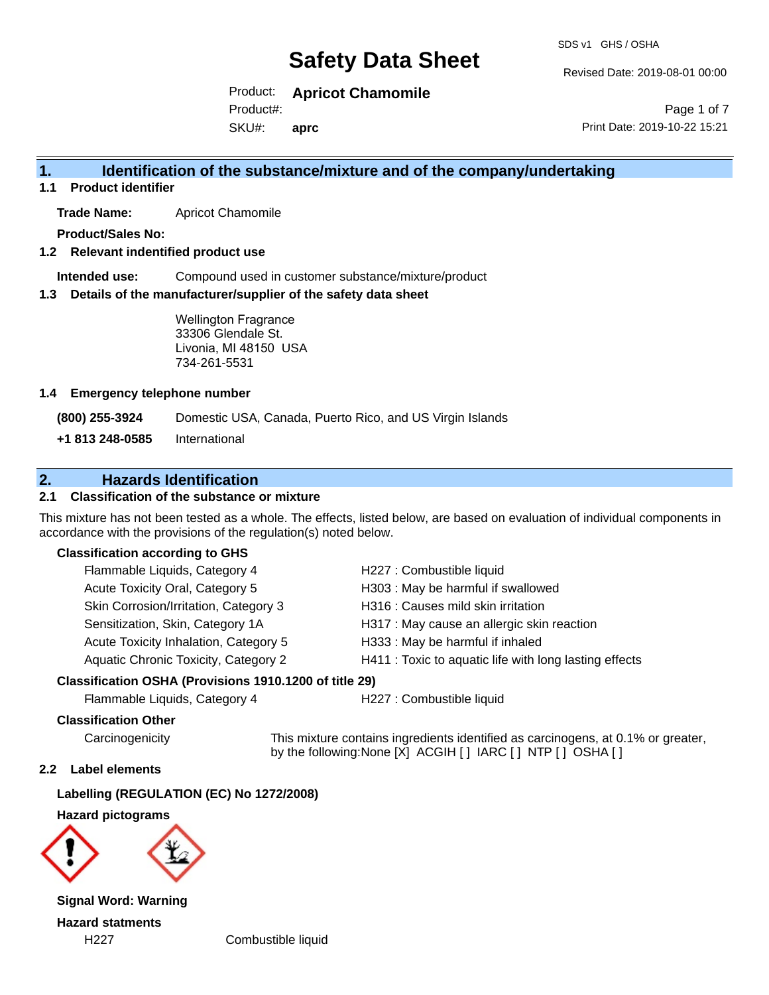Revised Date: 2019-08-01 00:00

Product: **Apricot Chamomile** SKU#: Product#: **aprc**

Page 1 of 7 Print Date: 2019-10-22 15:21

## **1. Identification of the substance/mixture and of the company/undertaking**

**1.1 Product identifier**

**Trade Name:** Apricot Chamomile

**Product/Sales No:**

**1.2 Relevant indentified product use**

**Intended use:** Compound used in customer substance/mixture/product

**1.3 Details of the manufacturer/supplier of the safety data sheet**

Wellington Fragrance 33306 Glendale St. Livonia, MI 48150 USA 734-261-5531

#### **1.4 Emergency telephone number**

**(800) 255-3924** Domestic USA, Canada, Puerto Rico, and US Virgin Islands

**+1 813 248-0585** International

## **2. Hazards Identification**

#### **2.1 Classification of the substance or mixture**

This mixture has not been tested as a whole. The effects, listed below, are based on evaluation of individual components in accordance with the provisions of the regulation(s) noted below.

#### **Classification according to GHS**

| Flammable Liquids, Category 4               | H227 : Combustible liquid                              |
|---------------------------------------------|--------------------------------------------------------|
| Acute Toxicity Oral, Category 5             | H303: May be harmful if swallowed                      |
| Skin Corrosion/Irritation, Category 3       | H316 : Causes mild skin irritation                     |
| Sensitization, Skin, Category 1A            | H317 : May cause an allergic skin reaction             |
| Acute Toxicity Inhalation, Category 5       | H333: May be harmful if inhaled                        |
| <b>Aquatic Chronic Toxicity, Category 2</b> | H411 : Toxic to aquatic life with long lasting effects |
|                                             |                                                        |

#### **Classification OSHA (Provisions 1910.1200 of title 29)**

Flammable Liquids, Category 4 H227 : Combustible liquid

#### **Classification Other**

Carcinogenicity This mixture contains ingredients identified as carcinogens, at 0.1% or greater, by the following:None [X] ACGIH [ ] IARC [ ] NTP [ ] OSHA [ ]

#### **2.2 Label elements**

**Labelling (REGULATION (EC) No 1272/2008)**

**Hazard pictograms**



**Signal Word: Warning Hazard statments**

H227 Combustible liquid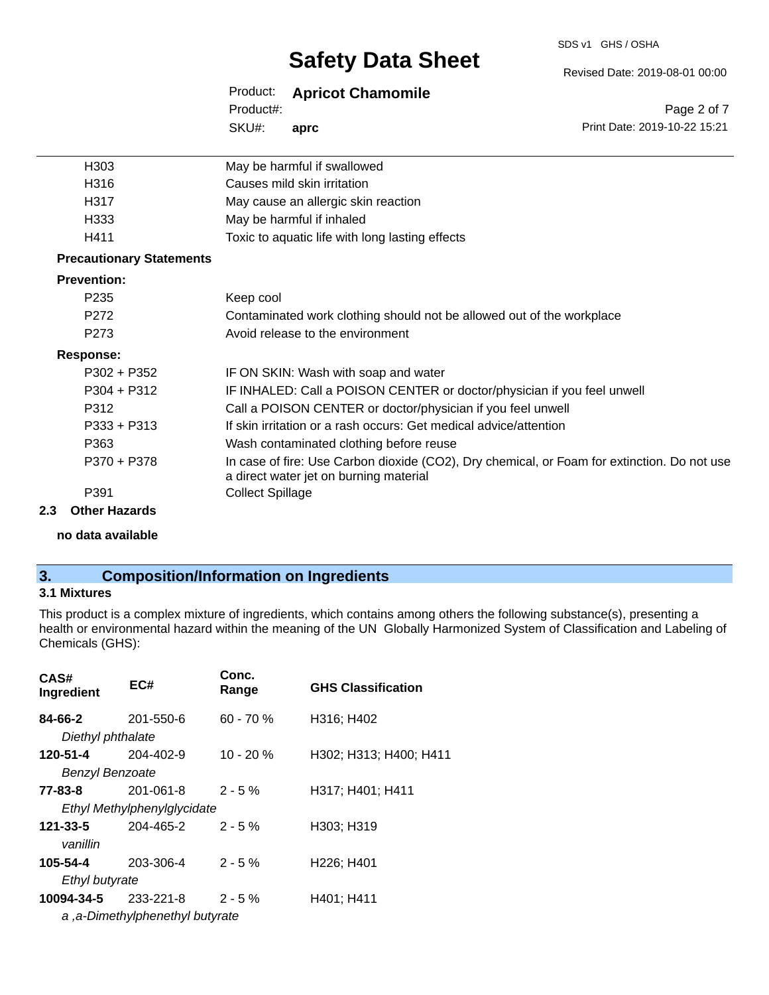SDS v1 GHS / OSHA

Revised Date: 2019-08-01 00:00

Print Date: 2019-10-22 15:21

Page 2 of 7

| Product: |  | <b>Apricot Chamomile</b> |
|----------|--|--------------------------|
|----------|--|--------------------------|

SKU#: Product#: **aprc**

| H303                            | May be harmful if swallowed                                                                                                           |
|---------------------------------|---------------------------------------------------------------------------------------------------------------------------------------|
| H316                            | Causes mild skin irritation                                                                                                           |
| H317                            | May cause an allergic skin reaction                                                                                                   |
| H333                            | May be harmful if inhaled                                                                                                             |
| H411                            | Toxic to aquatic life with long lasting effects                                                                                       |
| <b>Precautionary Statements</b> |                                                                                                                                       |
| <b>Prevention:</b>              |                                                                                                                                       |
| P <sub>235</sub>                | Keep cool                                                                                                                             |
| P272                            | Contaminated work clothing should not be allowed out of the workplace                                                                 |
| P <sub>273</sub>                | Avoid release to the environment                                                                                                      |
| <b>Response:</b>                |                                                                                                                                       |
| $P302 + P352$                   | IF ON SKIN: Wash with soap and water                                                                                                  |
| $P304 + P312$                   | IF INHALED: Call a POISON CENTER or doctor/physician if you feel unwell                                                               |
| P312                            | Call a POISON CENTER or doctor/physician if you feel unwell                                                                           |
| $P333 + P313$                   | If skin irritation or a rash occurs: Get medical advice/attention                                                                     |
| P363                            | Wash contaminated clothing before reuse                                                                                               |
| P370 + P378                     | In case of fire: Use Carbon dioxide (CO2), Dry chemical, or Foam for extinction. Do not use<br>a direct water jet on burning material |
| P391                            | <b>Collect Spillage</b>                                                                                                               |
| Other Hazarde                   |                                                                                                                                       |

### **2.3 Other Hazards**

**no data available**

## **3. Composition/Information on Ingredients**

#### **3.1 Mixtures**

This product is a complex mixture of ingredients, which contains among others the following substance(s), presenting a health or environmental hazard within the meaning of the UN Globally Harmonized System of Classification and Labeling of Chemicals (GHS):

| CAS#<br>Ingredient          | EC#                             | Conc.<br>Range | <b>GHS Classification</b>           |
|-----------------------------|---------------------------------|----------------|-------------------------------------|
| 84-66-2                     | 201-550-6                       | $60 - 70 %$    | H316; H402                          |
| Diethyl phthalate           |                                 |                |                                     |
| 120-51-4                    | $204 - 402 - 9$                 | $10 - 20%$     | H302; H313; H400; H411              |
| <b>Benzyl Benzoate</b>      |                                 |                |                                     |
| 77-83-8                     | 201-061-8                       | $2 - 5 \%$     | H317; H401; H411                    |
| Ethyl Methylphenylglycidate |                                 |                |                                     |
| 121-33-5                    | 204-465-2                       | $2 - 5%$       | H303: H319                          |
| vanillin                    |                                 |                |                                     |
| 105-54-4                    | 203-306-4                       | $2 - 5%$       | H <sub>226</sub> ; H <sub>401</sub> |
| Ethyl butyrate              |                                 |                |                                     |
| 10094-34-5                  | 233-221-8                       | $2 - 5%$       | H401; H411                          |
|                             | a, a-Dimethylphenethyl butyrate |                |                                     |
|                             |                                 |                |                                     |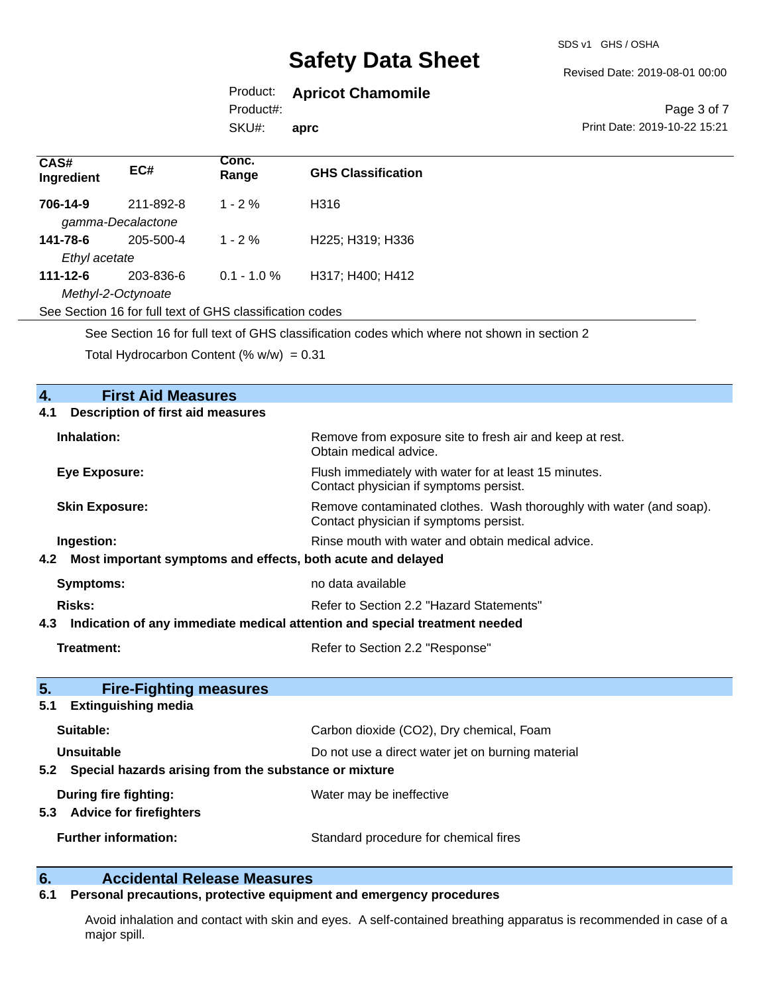SDS v1 GHS / OSHA

Revised Date: 2019-08-01 00:00

## Product: **Apricot Chamomile**

Product#:

SKU#: **aprc**

#### Page 3 of 7 Print Date: 2019-10-22 15:21

| CAS#<br>Ingredient | EC#                | Conc.<br>Range                                           | <b>GHS Classification</b> |
|--------------------|--------------------|----------------------------------------------------------|---------------------------|
| 706-14-9           | 211-892-8          | $1 - 2 \%$                                               | H316                      |
|                    | gamma-Decalactone  |                                                          |                           |
| 141-78-6           | 205-500-4          | $1 - 2 \%$                                               | H225; H319; H336          |
| Ethyl acetate      |                    |                                                          |                           |
| $111 - 12 - 6$     | 203-836-6          | $0.1 - 1.0 \%$                                           | H317; H400; H412          |
|                    | Methyl-2-Octynoate |                                                          |                           |
|                    |                    | See Section 16 for full text of GHS classification codes |                           |

See Section 16 for full text of GHS classification codes which where not shown in section 2

Total Hydrocarbon Content  $(\% w/w) = 0.31$ 

## **4. First Aid Measures 4.1 Description of first aid measures Inhalation:** Remove from exposure site to fresh air and keep at rest. Obtain medical advice. **Eye Exposure:** Flush immediately with water for at least 15 minutes. Contact physician if symptoms persist. **Skin Exposure:** Remove contaminated clothes. Wash thoroughly with water (and soap). Contact physician if symptoms persist. **Ingestion: Rinse mouth with water and obtain medical advice. Rinse mouth with water and obtain medical advice. 4.2 Most important symptoms and effects, both acute and delayed Symptoms:** no data available **Risks:** Risks: Refer to Section 2.2 "Hazard Statements" **4.3 Indication of any immediate medical attention and special treatment needed Treatment:** Treatment: Refer to Section 2.2 "Response" **5. Fire-Fighting measures 5.1 Extinguishing media Suitable:** Carbon dioxide (CO2), Dry chemical, Foam **Unsuitable** Do not use a direct water jet on burning material **5.2 Special hazards arising from the substance or mixture During fire fighting:** Water may be ineffective **5.3 Advice for firefighters Further information:** Standard procedure for chemical fires

## **6. Accidental Release Measures**

#### **6.1 Personal precautions, protective equipment and emergency procedures**

Avoid inhalation and contact with skin and eyes. A self-contained breathing apparatus is recommended in case of a major spill.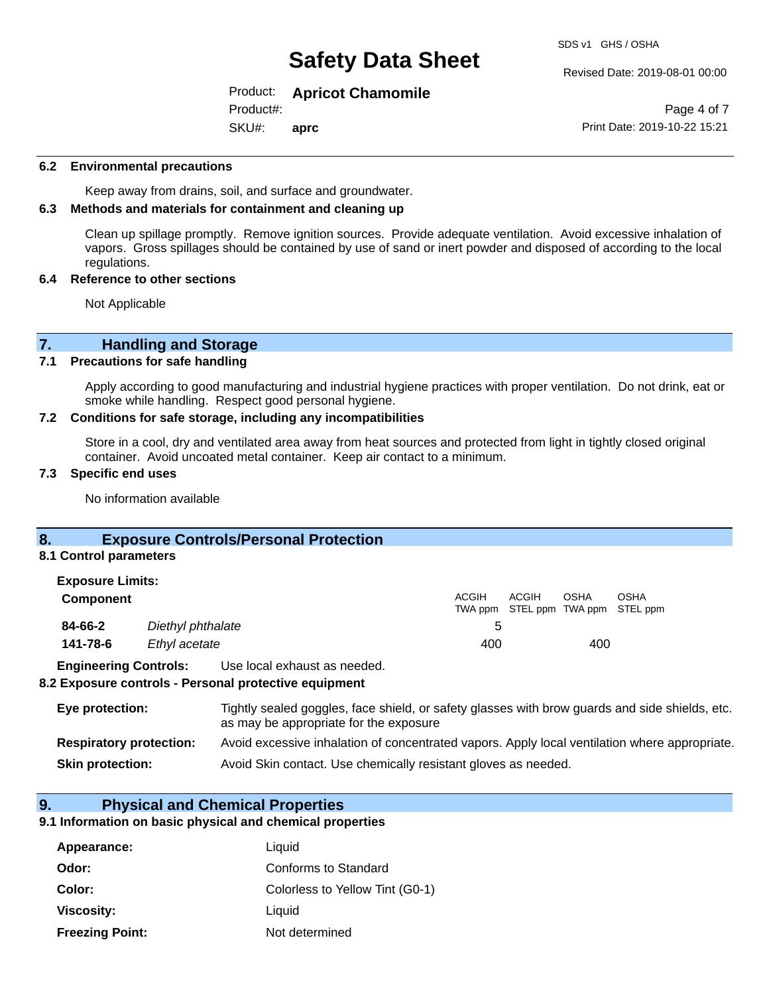#### Revised Date: 2019-08-01 00:00

### Product: **Apricot Chamomile**

SKU#: Product#: **aprc**

Page 4 of 7 Print Date: 2019-10-22 15:21

#### **6.2 Environmental precautions**

Keep away from drains, soil, and surface and groundwater.

#### **6.3 Methods and materials for containment and cleaning up**

Clean up spillage promptly. Remove ignition sources. Provide adequate ventilation. Avoid excessive inhalation of vapors. Gross spillages should be contained by use of sand or inert powder and disposed of according to the local regulations.

#### **6.4 Reference to other sections**

Not Applicable

# **7. Handling and Storage**<br>**7.1** Precautions for safe handling

#### **Precautions for safe handling**

Apply according to good manufacturing and industrial hygiene practices with proper ventilation. Do not drink, eat or smoke while handling. Respect good personal hygiene.

#### **7.2 Conditions for safe storage, including any incompatibilities**

Store in a cool, dry and ventilated area away from heat sources and protected from light in tightly closed original container. Avoid uncoated metal container. Keep air contact to a minimum.

#### **7.3 Specific end uses**

No information available

### **8. Exposure Controls/Personal Protection**

#### **8.1 Control parameters**

| <b>Exposure Limits:</b>      |                   |                              |       |       |             |                                                  |
|------------------------------|-------------------|------------------------------|-------|-------|-------------|--------------------------------------------------|
| <b>Component</b>             |                   |                              | ACGIH | ACGIH | <b>OSHA</b> | <b>OSHA</b><br>TWA ppm STEL ppm TWA ppm STEL ppm |
| 84-66-2                      | Diethyl phthalate |                              | 5     |       |             |                                                  |
| 141-78-6                     | Ethyl acetate     |                              | 400   |       | 400         |                                                  |
| <b>Engineering Controls:</b> |                   | Use local exhaust as needed. |       |       |             |                                                  |

#### **8.2 Exposure controls - Personal protective equipment**

| Eye protection:                | Tightly sealed goggles, face shield, or safety glasses with brow guards and side shields, etc.<br>as may be appropriate for the exposure |
|--------------------------------|------------------------------------------------------------------------------------------------------------------------------------------|
| <b>Respiratory protection:</b> | Avoid excessive inhalation of concentrated vapors. Apply local ventilation where appropriate.                                            |
| <b>Skin protection:</b>        | Avoid Skin contact. Use chemically resistant gloves as needed.                                                                           |

#### **9. Physical and Chemical Properties**

#### **9.1 Information on basic physical and chemical properties**

| Appearance:            | Liquid                          |
|------------------------|---------------------------------|
| Odor:                  | Conforms to Standard            |
| Color:                 | Colorless to Yellow Tint (G0-1) |
| Viscosity:             | Liquid                          |
| <b>Freezing Point:</b> | Not determined                  |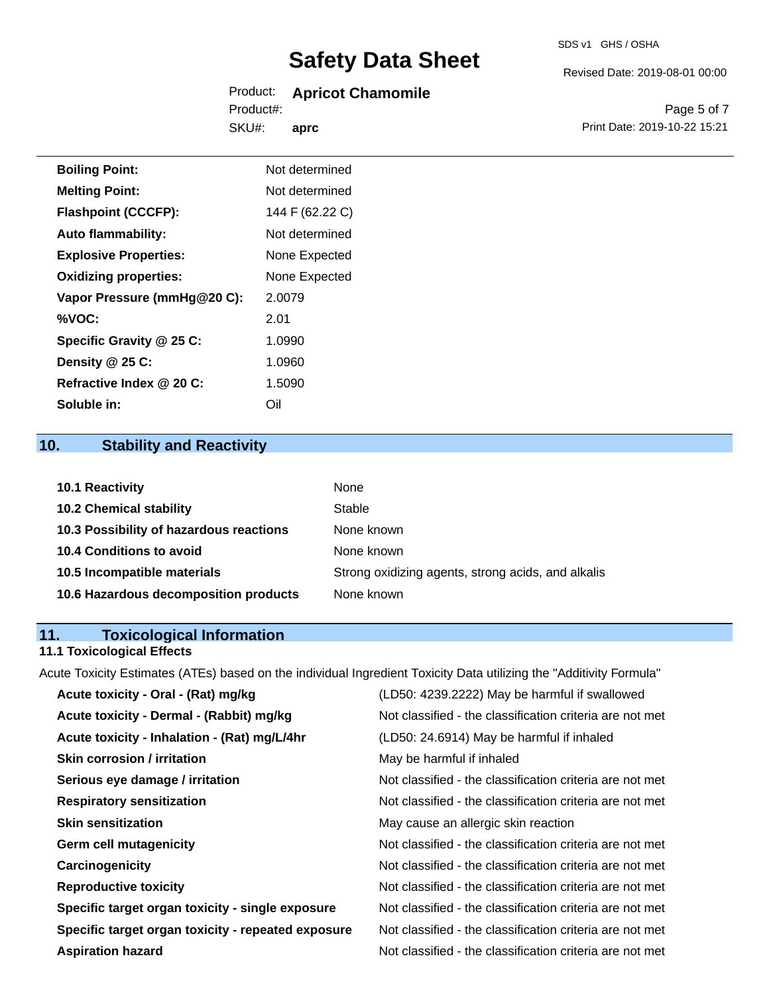#### Product: **Apricot Chamomile** Product#:

SKU#: **aprc** Revised Date: 2019-08-01 00:00

Page 5 of 7 Print Date: 2019-10-22 15:21

| <b>Boiling Point:</b>        | Not determined  |
|------------------------------|-----------------|
| <b>Melting Point:</b>        | Not determined  |
| <b>Flashpoint (CCCFP):</b>   | 144 F (62.22 C) |
| <b>Auto flammability:</b>    | Not determined  |
| <b>Explosive Properties:</b> | None Expected   |
| <b>Oxidizing properties:</b> | None Expected   |
| Vapor Pressure (mmHg@20 C):  | 2.0079          |
| %VOC:                        | 2.01            |
| Specific Gravity @ 25 C:     | 1.0990          |
| Density @ 25 C:              | 1.0960          |
| Refractive Index @ 20 C:     | 1.5090          |
| Soluble in:                  | Oil             |

## **10. Stability and Reactivity**

| 10.1 Reactivity                         | None                                               |
|-----------------------------------------|----------------------------------------------------|
| <b>10.2 Chemical stability</b>          | Stable                                             |
| 10.3 Possibility of hazardous reactions | None known                                         |
| <b>10.4 Conditions to avoid</b>         | None known                                         |
| 10.5 Incompatible materials             | Strong oxidizing agents, strong acids, and alkalis |
| 10.6 Hazardous decomposition products   | None known                                         |

## **11. Toxicological Information**

## **11.1 Toxicological Effects**

Acute Toxicity Estimates (ATEs) based on the individual Ingredient Toxicity Data utilizing the "Additivity Formula"

| Acute toxicity - Oral - (Rat) mg/kg                | (LD50: 4239.2222) May be harmful if swallowed            |
|----------------------------------------------------|----------------------------------------------------------|
| Acute toxicity - Dermal - (Rabbit) mg/kg           | Not classified - the classification criteria are not met |
| Acute toxicity - Inhalation - (Rat) mg/L/4hr       | (LD50: 24.6914) May be harmful if inhaled                |
| <b>Skin corrosion / irritation</b>                 | May be harmful if inhaled                                |
| Serious eye damage / irritation                    | Not classified - the classification criteria are not met |
| <b>Respiratory sensitization</b>                   | Not classified - the classification criteria are not met |
| <b>Skin sensitization</b>                          | May cause an allergic skin reaction                      |
| <b>Germ cell mutagenicity</b>                      | Not classified - the classification criteria are not met |
| Carcinogenicity                                    | Not classified - the classification criteria are not met |
| <b>Reproductive toxicity</b>                       | Not classified - the classification criteria are not met |
| Specific target organ toxicity - single exposure   | Not classified - the classification criteria are not met |
| Specific target organ toxicity - repeated exposure | Not classified - the classification criteria are not met |
| <b>Aspiration hazard</b>                           | Not classified - the classification criteria are not met |
|                                                    |                                                          |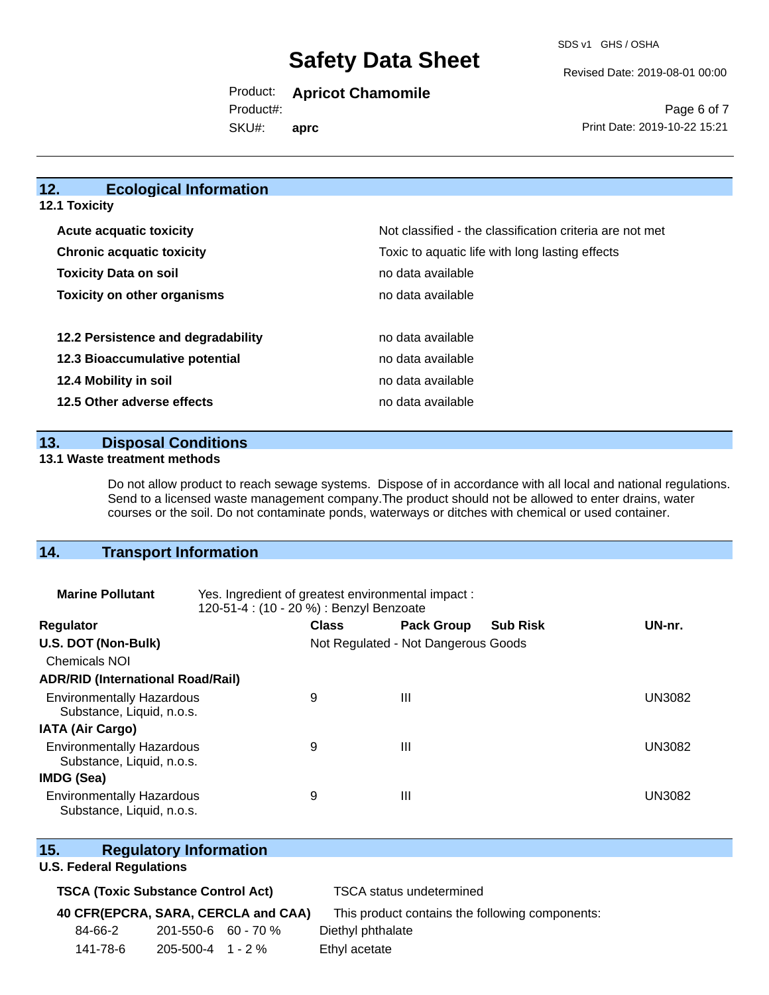Revised Date: 2019-08-01 00:00

Product: **Apricot Chamomile**

SKU#: Product#: **aprc**

Page 6 of 7 Print Date: 2019-10-22 15:21

## **12. Ecological Information**

**12.1 Toxicity**

| <b>Acute acquatic toxicity</b>     | Not classified - the classification criteria are not met |
|------------------------------------|----------------------------------------------------------|
| <b>Chronic acquatic toxicity</b>   | Toxic to aquatic life with long lasting effects          |
| <b>Toxicity Data on soil</b>       | no data available                                        |
| <b>Toxicity on other organisms</b> | no data available                                        |
|                                    |                                                          |
| 12.2 Persistence and degradability | no data available                                        |
| 12.3 Bioaccumulative potential     | no data available                                        |
| 12.4 Mobility in soil              | no data available                                        |
| 12.5 Other adverse effects         | no data available                                        |

**13. Disposal Conditions** 

#### **13.1 Waste treatment methods**

Do not allow product to reach sewage systems. Dispose of in accordance with all local and national regulations. Send to a licensed waste management company.The product should not be allowed to enter drains, water courses or the soil. Do not contaminate ponds, waterways or ditches with chemical or used container.

## **14. Transport Information**

| <b>Marine Pollutant</b>                                       | Yes. Ingredient of greatest environmental impact:<br>120-51-4 : (10 - 20 %) : Benzyl Benzoate |                                     |                   |                 |               |
|---------------------------------------------------------------|-----------------------------------------------------------------------------------------------|-------------------------------------|-------------------|-----------------|---------------|
| <b>Regulator</b>                                              |                                                                                               | <b>Class</b>                        | <b>Pack Group</b> | <b>Sub Risk</b> | UN-nr.        |
| U.S. DOT (Non-Bulk)                                           |                                                                                               | Not Regulated - Not Dangerous Goods |                   |                 |               |
| <b>Chemicals NOI</b>                                          |                                                                                               |                                     |                   |                 |               |
| <b>ADR/RID (International Road/Rail)</b>                      |                                                                                               |                                     |                   |                 |               |
| <b>Environmentally Hazardous</b><br>Substance, Liquid, n.o.s. |                                                                                               | 9                                   | Ш                 |                 | <b>UN3082</b> |
| <b>IATA (Air Cargo)</b>                                       |                                                                                               |                                     |                   |                 |               |
| <b>Environmentally Hazardous</b><br>Substance, Liquid, n.o.s. |                                                                                               | 9                                   | Ш                 |                 | UN3082        |
| <b>IMDG (Sea)</b>                                             |                                                                                               |                                     |                   |                 |               |
| <b>Environmentally Hazardous</b><br>Substance, Liquid, n.o.s. |                                                                                               | 9                                   | Ш                 |                 | UN3082        |

### **15. Regulatory Information**

#### **U.S. Federal Regulations**

### **TSCA (Toxic Substance Control Act)** TSCA status undetermined

## **40 CFR(EPCRA, SARA, CERCLA and CAA)** This product contains the following components:

| 84-66-2 | $201 - 550 - 6$ 60 - 70 % | Diethyl phthalate |
|---------|---------------------------|-------------------|
|---------|---------------------------|-------------------|

141-78-6 205-500-4 1 - 2 % Ethyl acetate